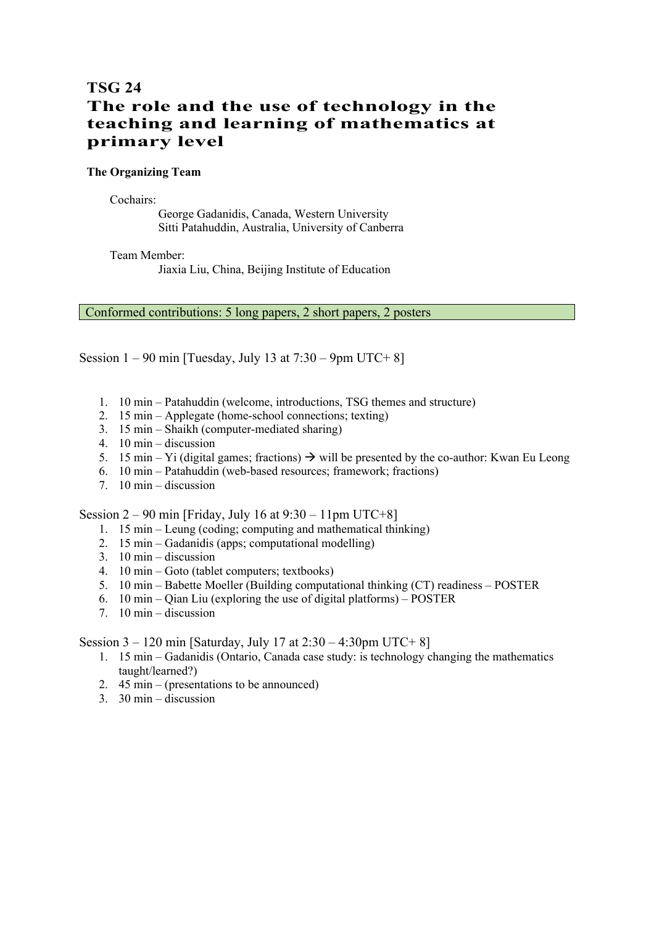# **TSG 24 The role and the use of technology in the teaching and learning of mathematics at primary level**

## **The Organizing Team**

Cochairs:

George Gadanidis, Canada, Western University Sitti Patahuddin, Australia, University of Canberra

Team Member:

Jiaxia Liu, China, Beijing Institute of Education

Conformed contributions: 5 long papers, 2 short papers, 2 posters

Session  $1 - 90$  min [Tuesday, July 13 at  $7:30 - 9$ pm UTC+8]

- 1. 10 min Patahuddin (welcome, introductions, TSG themes and structure)
- 2. 15 min Applegate (home-school connections; texting)
- 3. 15 min Shaikh (computer-mediated sharing)
- 4. 10 min discussion
- 5. 15 min Yi (digital games; fractions)  $\rightarrow$  will be presented by the co-author: Kwan Eu Leong
- 6. 10 min Patahuddin (web-based resources; framework; fractions)
- 7. 10 min discussion

Session  $2 - 90$  min [Friday, July 16 at  $9:30 - 11$ pm UTC+8]

- 1. 15 min Leung (coding; computing and mathematical thinking)
- 2. 15 min Gadanidis (apps; computational modelling)
- 3. 10 min discussion
- 4. 10 min Goto (tablet computers; textbooks)
- 5. 10 min Babette Moeller (Building computational thinking (CT) readiness POSTER
- 6. 10 min Qian Liu (exploring the use of digital platforms) POSTER
- 7. 10 min discussion

Session  $3 - 120$  min [Saturday, July 17 at  $2:30 - 4:30$  pm UTC+ 8]

- 1. 15 min Gadanidis (Ontario, Canada case study: is technology changing the mathematics taught/learned?)
- 2.  $45 \text{ min} (\text{presentations to be announced})$
- 3. 30 min discussion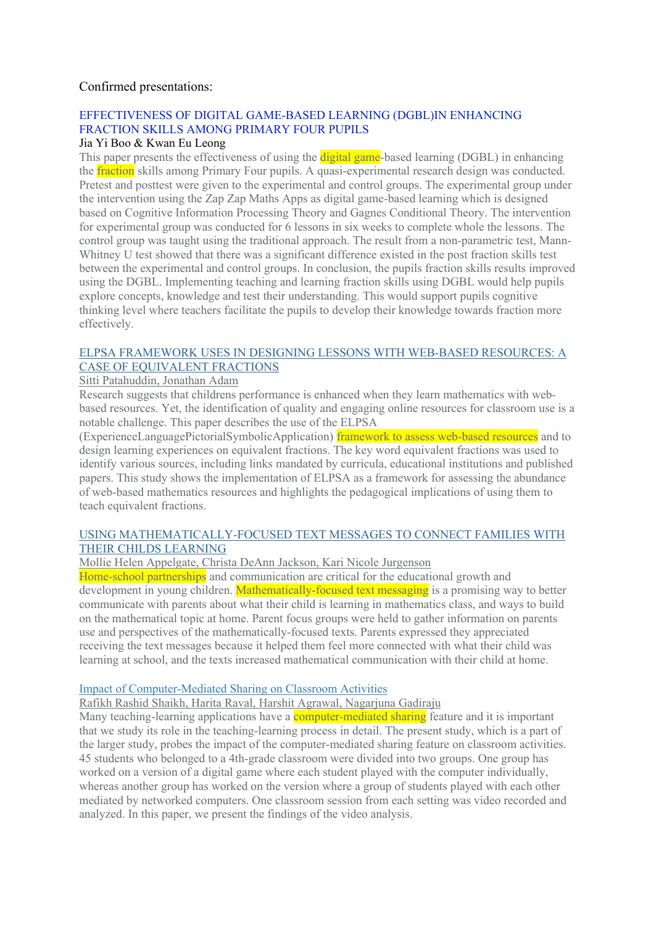## Confirmed presentations:

## EFFECTIVENESS OF DIGITAL GAME-BASED LEARNING (DGBL)IN ENHANCING FRACTION SKILLS AMONG PRIMARY FOUR PUPILS

#### Jia Yi Boo & Kwan Eu Leong

This paper presents the effectiveness of using the **digital game**-based learning (DGBL) in enhancing the fraction skills among Primary Four pupils. A quasi-experimental research design was conducted. Pretest and posttest were given to the experimental and control groups. The experimental group under the intervention using the Zap Zap Maths Apps as digital game-based learning which is designed based on Cognitive Information Processing Theory and Gagnes Conditional Theory. The intervention for experimental group was conducted for 6 lessons in six weeks to complete whole the lessons. The control group was taught using the traditional approach. The result from a non-parametric test, Mann-Whitney U test showed that there was a significant difference existed in the post fraction skills test between the experimental and control groups. In conclusion, the pupils fraction skills results improved using the DGBL. Implementing teaching and learning fraction skills using DGBL would help pupils explore concepts, knowledge and test their understanding. This would support pupils cognitive thinking level where teachers facilitate the pupils to develop their knowledge towards fraction more effectively.

## ELPSA FRAMEWORK USES IN DESIGNING LESSONS WITH WEB-BASED RESOURCES: A CASE OF EQUIVALENT FRACTIONS

## Sitti Patahuddin, Jonathan Adam

Research suggests that childrens performance is enhanced when they learn mathematics with webbased resources. Yet, the identification of quality and engaging online resources for classroom use is a notable challenge. This paper describes the use of the ELPSA

(ExperienceLanguagePictorialSymbolicApplication) framework to assess web-based resources and to design learning experiences on equivalent fractions. The key word equivalent fractions was used to identify various sources, including links mandated by curricula, educational institutions and published papers. This study shows the implementation of ELPSA as a framework for assessing the abundance of web-based mathematics resources and highlights the pedagogical implications of using them to teach equivalent fractions.

## USING MATHEMATICALLY-FOCUSED TEXT MESSAGES TO CONNECT FAMILIES WITH THEIR CHILDS LEARNING

Mollie Helen Appelgate, Christa DeAnn Jackson, Kari Nicole Jurgenson

Home-school partnerships and communication are critical for the educational growth and development in young children. Mathematically-focused text messaging is a promising way to better communicate with parents about what their child is learning in mathematics class, and ways to build on the mathematical topic at home. Parent focus groups were held to gather information on parents use and perspectives of the mathematically-focused texts. Parents expressed they appreciated receiving the text messages because it helped them feel more connected with what their child was learning at school, and the texts increased mathematical communication with their child at home.

## Impact of Computer-Mediated Sharing on Classroom Activities

Rafikh Rashid Shaikh, Harita Raval, Harshit Agrawal, Nagarjuna Gadiraju

Many teaching-learning applications have a **computer-mediated sharing** feature and it is important that we study its role in the teaching-learning process in detail. The present study, which is a part of the larger study, probes the impact of the computer-mediated sharing feature on classroom activities. 45 students who belonged to a 4th-grade classroom were divided into two groups. One group has worked on a version of a digital game where each student played with the computer individually, whereas another group has worked on the version where a group of students played with each other mediated by networked computers. One classroom session from each setting was video recorded and analyzed. In this paper, we present the findings of the video analysis.